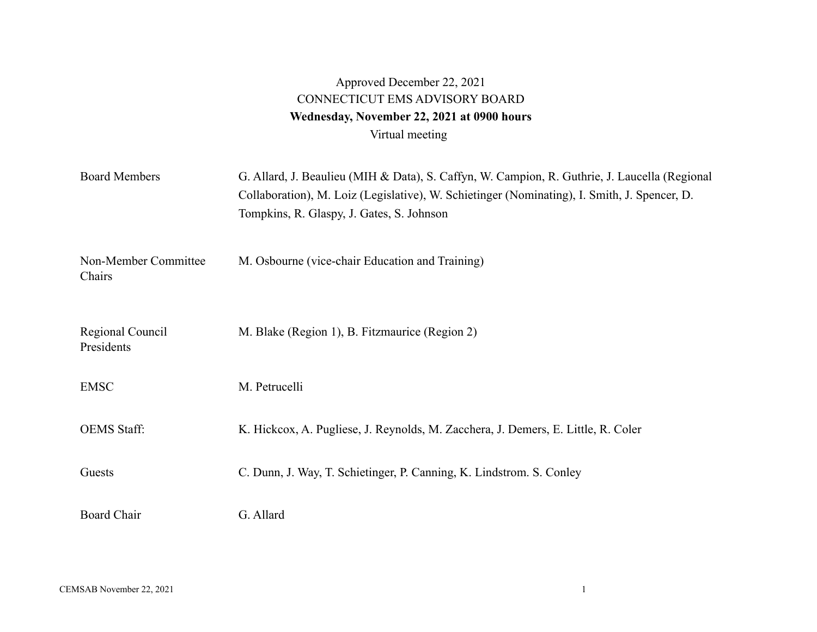## Approved December 22, 2021 CONNECTICUT EMS ADVISORY BOARD Wednesday, November 22, 2021 at 0900 hours Virtual meeting

| <b>Board Members</b>           | G. Allard, J. Beaulieu (MIH & Data), S. Caffyn, W. Campion, R. Guthrie, J. Laucella (Regional<br>Collaboration), M. Loiz (Legislative), W. Schietinger (Nominating), I. Smith, J. Spencer, D.<br>Tompkins, R. Glaspy, J. Gates, S. Johnson |
|--------------------------------|--------------------------------------------------------------------------------------------------------------------------------------------------------------------------------------------------------------------------------------------|
| Non-Member Committee<br>Chairs | M. Osbourne (vice-chair Education and Training)                                                                                                                                                                                            |
| Regional Council<br>Presidents | M. Blake (Region 1), B. Fitzmaurice (Region 2)                                                                                                                                                                                             |
| <b>EMSC</b>                    | M. Petrucelli                                                                                                                                                                                                                              |
| <b>OEMS</b> Staff:             | K. Hickcox, A. Pugliese, J. Reynolds, M. Zacchera, J. Demers, E. Little, R. Coler                                                                                                                                                          |
| Guests                         | C. Dunn, J. Way, T. Schietinger, P. Canning, K. Lindstrom. S. Conley                                                                                                                                                                       |
| <b>Board Chair</b>             | G. Allard                                                                                                                                                                                                                                  |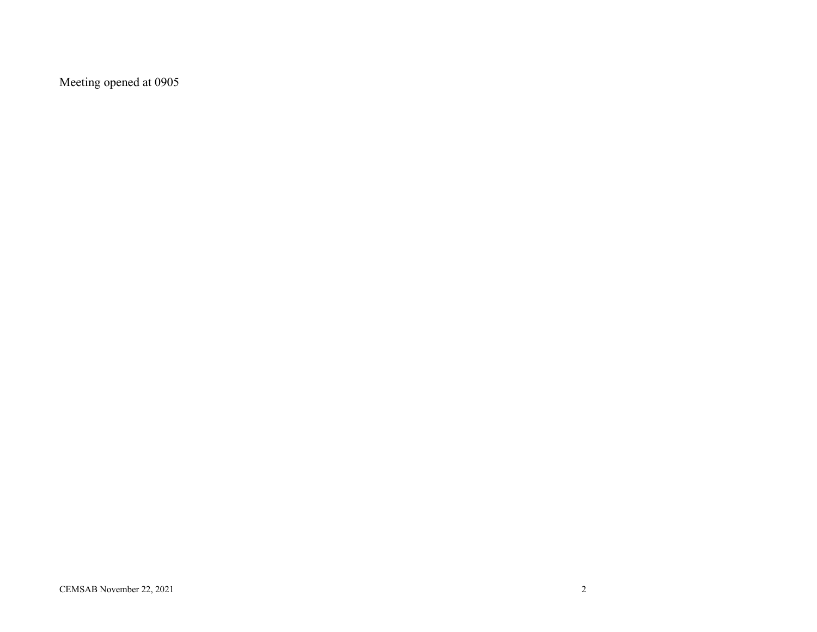Meeting opened at 0905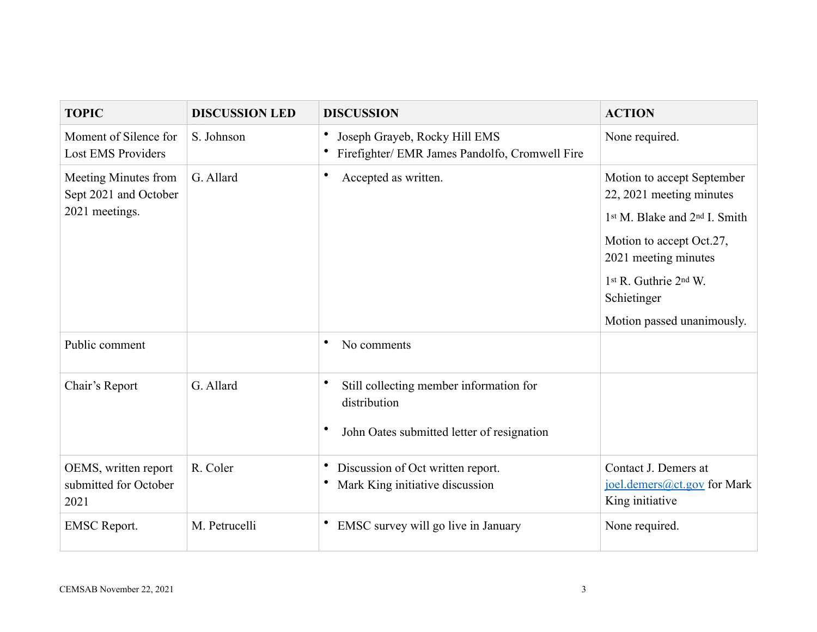| <b>TOPIC</b>                                                    | <b>DISCUSSION LED</b> | <b>DISCUSSION</b>                                                                                          | <b>ACTION</b>                                                                                                                                                                                                                 |
|-----------------------------------------------------------------|-----------------------|------------------------------------------------------------------------------------------------------------|-------------------------------------------------------------------------------------------------------------------------------------------------------------------------------------------------------------------------------|
| Moment of Silence for<br><b>Lost EMS Providers</b>              | S. Johnson            | Joseph Grayeb, Rocky Hill EMS<br>Firefighter/ EMR James Pandolfo, Cromwell Fire                            | None required.                                                                                                                                                                                                                |
| Meeting Minutes from<br>Sept 2021 and October<br>2021 meetings. | G. Allard             | $\bullet$<br>Accepted as written.                                                                          | Motion to accept September<br>22, 2021 meeting minutes<br>1st M. Blake and 2 <sup>nd</sup> I. Smith<br>Motion to accept Oct.27,<br>2021 meeting minutes<br>1st R. Guthrie 2nd W.<br>Schietinger<br>Motion passed unanimously. |
| Public comment                                                  |                       | No comments<br>٠                                                                                           |                                                                                                                                                                                                                               |
| Chair's Report                                                  | G. Allard             | Still collecting member information for<br>distribution<br>٠<br>John Oates submitted letter of resignation |                                                                                                                                                                                                                               |
| OEMS, written report<br>submitted for October<br>2021           | R. Coler              | Discussion of Oct written report.<br>Mark King initiative discussion                                       | Contact J. Demers at<br>joel.demers@ct.gov for Mark<br>King initiative                                                                                                                                                        |
| <b>EMSC</b> Report.                                             | M. Petrucelli         | EMSC survey will go live in January                                                                        | None required.                                                                                                                                                                                                                |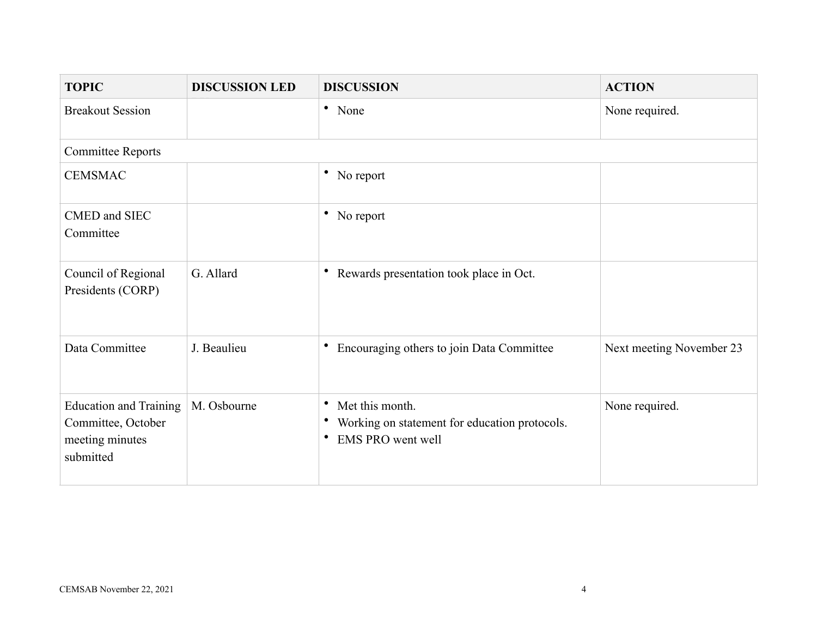| <b>TOPIC</b>                                                                        | <b>DISCUSSION LED</b> | <b>DISCUSSION</b>                                                                                                   | <b>ACTION</b>            |
|-------------------------------------------------------------------------------------|-----------------------|---------------------------------------------------------------------------------------------------------------------|--------------------------|
| <b>Breakout Session</b>                                                             |                       | • None                                                                                                              | None required.           |
| <b>Committee Reports</b>                                                            |                       |                                                                                                                     |                          |
| <b>CEMSMAC</b>                                                                      |                       | • No report                                                                                                         |                          |
| CMED and SIEC<br>Committee                                                          |                       | • No report                                                                                                         |                          |
| Council of Regional<br>Presidents (CORP)                                            | G. Allard             | Rewards presentation took place in Oct.<br>$\bullet$                                                                |                          |
| Data Committee                                                                      | J. Beaulieu           | Encouraging others to join Data Committee                                                                           | Next meeting November 23 |
| <b>Education and Training</b><br>Committee, October<br>meeting minutes<br>submitted | M. Osbourne           | Met this month.<br>٠<br>Working on statement for education protocols.<br>$\bullet$<br><b>EMS PRO</b> went well<br>٠ | None required.           |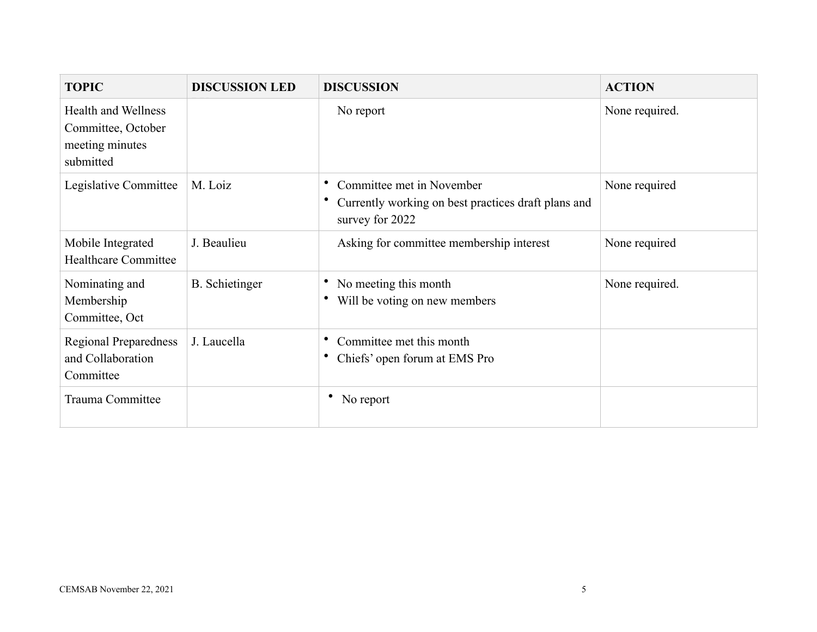| <b>TOPIC</b>                                                                     | <b>DISCUSSION LED</b> | <b>DISCUSSION</b>                                                                                   | <b>ACTION</b>  |
|----------------------------------------------------------------------------------|-----------------------|-----------------------------------------------------------------------------------------------------|----------------|
| <b>Health and Wellness</b><br>Committee, October<br>meeting minutes<br>submitted |                       | No report                                                                                           | None required. |
| Legislative Committee                                                            | M. Loiz               | Committee met in November<br>Currently working on best practices draft plans and<br>survey for 2022 | None required  |
| Mobile Integrated<br><b>Healthcare Committee</b>                                 | J. Beaulieu           | Asking for committee membership interest                                                            | None required  |
| Nominating and<br>Membership<br>Committee, Oct                                   | <b>B.</b> Schietinger | No meeting this month<br>Will be voting on new members                                              | None required. |
| <b>Regional Preparedness</b><br>and Collaboration<br>Committee                   | J. Laucella           | Committee met this month<br>Chiefs' open forum at EMS Pro                                           |                |
| Trauma Committee                                                                 |                       | • No report                                                                                         |                |